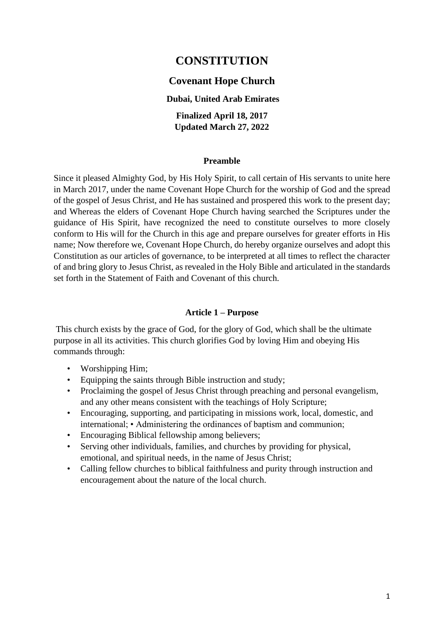# **CONSTITUTION**

#### **Covenant Hope Church**

#### **Dubai, United Arab Emirates**

**Finalized April 18, 2017 Updated March 27, 2022**

#### **Preamble**

Since it pleased Almighty God, by His Holy Spirit, to call certain of His servants to unite here in March 2017, under the name Covenant Hope Church for the worship of God and the spread of the gospel of Jesus Christ, and He has sustained and prospered this work to the present day; and Whereas the elders of Covenant Hope Church having searched the Scriptures under the guidance of His Spirit, have recognized the need to constitute ourselves to more closely conform to His will for the Church in this age and prepare ourselves for greater efforts in His name; Now therefore we, Covenant Hope Church, do hereby organize ourselves and adopt this Constitution as our articles of governance, to be interpreted at all times to reflect the character of and bring glory to Jesus Christ, as revealed in the Holy Bible and articulated in the standards set forth in the Statement of Faith and Covenant of this church.

#### **Article 1 – Purpose**

This church exists by the grace of God, for the glory of God, which shall be the ultimate purpose in all its activities. This church glorifies God by loving Him and obeying His commands through:

- Worshipping Him;
- Equipping the saints through Bible instruction and study;
- Proclaiming the gospel of Jesus Christ through preaching and personal evangelism, and any other means consistent with the teachings of Holy Scripture;
- Encouraging, supporting, and participating in missions work, local, domestic, and international; • Administering the ordinances of baptism and communion;
- Encouraging Biblical fellowship among believers;
- Serving other individuals, families, and churches by providing for physical, emotional, and spiritual needs, in the name of Jesus Christ;
- Calling fellow churches to biblical faithfulness and purity through instruction and encouragement about the nature of the local church.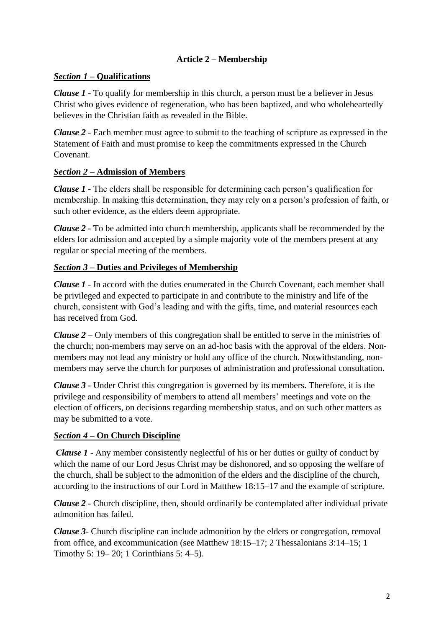## **Article 2 – Membership**

## *Section 1 –* **Qualifications**

*Clause 1* - To qualify for membership in this church, a person must be a believer in Jesus Christ who gives evidence of regeneration, who has been baptized, and who wholeheartedly believes in the Christian faith as revealed in the Bible.

*Clause 2 -* Each member must agree to submit to the teaching of scripture as expressed in the Statement of Faith and must promise to keep the commitments expressed in the Church Covenant.

## *Section 2 –* **Admission of Members**

*Clause 1 -* The elders shall be responsible for determining each person's qualification for membership. In making this determination, they may rely on a person's profession of faith, or such other evidence, as the elders deem appropriate.

*Clause 2 -* To be admitted into church membership, applicants shall be recommended by the elders for admission and accepted by a simple majority vote of the members present at any regular or special meeting of the members.

## *Section 3* **– Duties and Privileges of Membership**

*Clause 1 -* In accord with the duties enumerated in the Church Covenant, each member shall be privileged and expected to participate in and contribute to the ministry and life of the church, consistent with God's leading and with the gifts, time, and material resources each has received from God.

*Clause 2* – Only members of this congregation shall be entitled to serve in the ministries of the church; non-members may serve on an ad-hoc basis with the approval of the elders. Nonmembers may not lead any ministry or hold any office of the church. Notwithstanding, nonmembers may serve the church for purposes of administration and professional consultation.

*Clause 3 -* Under Christ this congregation is governed by its members. Therefore, it is the privilege and responsibility of members to attend all members' meetings and vote on the election of officers, on decisions regarding membership status, and on such other matters as may be submitted to a vote.

## *Section 4* **– On Church Discipline**

*Clause 1* - Any member consistently neglectful of his or her duties or guilty of conduct by which the name of our Lord Jesus Christ may be dishonored, and so opposing the welfare of the church, shall be subject to the admonition of the elders and the discipline of the church, according to the instructions of our Lord in Matthew 18:15–17 and the example of scripture.

*Clause 2* - Church discipline, then, should ordinarily be contemplated after individual private admonition has failed.

*Clause 3-* Church discipline can include admonition by the elders or congregation, removal from office, and excommunication (see Matthew 18:15–17; 2 Thessalonians 3:14–15; 1 Timothy 5: 19– 20; 1 Corinthians 5: 4–5).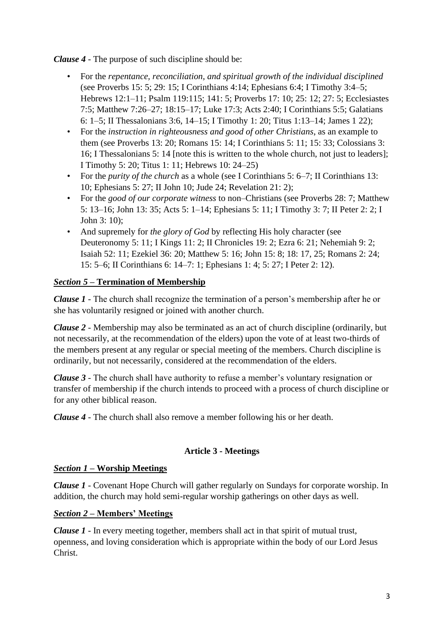*Clause 4* - The purpose of such discipline should be:

- For the *repentance, reconciliation, and spiritual growth of the individual disciplined* (see Proverbs 15: 5; 29: 15; I Corinthians 4:14; Ephesians 6:4; I Timothy 3:4–5; Hebrews 12:1–11; Psalm 119:115; 141: 5; Proverbs 17: 10; 25: 12; 27: 5; Ecclesiastes 7:5; Matthew 7:26–27; 18:15–17; Luke 17:3; Acts 2:40; I Corinthians 5:5; Galatians 6: 1–5; II Thessalonians 3:6, 14–15; I Timothy 1: 20; Titus 1:13–14; James 1 22);
- For the *instruction in righteousness and good of other Christians*, as an example to them (see Proverbs 13: 20; Romans 15: 14; I Corinthians 5: 11; 15: 33; Colossians 3: 16; I Thessalonians 5: 14 [note this is written to the whole church, not just to leaders]; I Timothy 5: 20; Titus 1: 11; Hebrews 10: 24–25)
- For the *purity of the church* as a whole (see I Corinthians 5: 6–7; II Corinthians 13: 10; Ephesians 5: 27; II John 10; Jude 24; Revelation 21: 2);
- For the *good of our corporate witness* to non–Christians (see Proverbs 28: 7; Matthew 5: 13–16; John 13: 35; Acts 5: 1–14; Ephesians 5: 11; I Timothy 3: 7; II Peter 2: 2; I John 3: 10);
- And supremely for *the glory of God* by reflecting His holy character (see Deuteronomy 5: 11; I Kings 11: 2; II Chronicles 19: 2; Ezra 6: 21; Nehemiah 9: 2; Isaiah 52: 11; Ezekiel 36: 20; Matthew 5: 16; John 15: 8; 18: 17, 25; Romans 2: 24; 15: 5–6; II Corinthians 6: 14–7: 1; Ephesians 1: 4; 5: 27; I Peter 2: 12).

## *Section 5* **– Termination of Membership**

*Clause 1* - The church shall recognize the termination of a person's membership after he or she has voluntarily resigned or joined with another church.

*Clause 2 -* Membership may also be terminated as an act of church discipline (ordinarily, but not necessarily, at the recommendation of the elders) upon the vote of at least two-thirds of the members present at any regular or special meeting of the members. Church discipline is ordinarily, but not necessarily, considered at the recommendation of the elders.

*Clause 3* - The church shall have authority to refuse a member's voluntary resignation or transfer of membership if the church intends to proceed with a process of church discipline or for any other biblical reason.

*Clause 4 -* The church shall also remove a member following his or her death.

#### **Article 3 - Meetings**

#### *Section 1 –* **Worship Meetings**

*Clause 1* - Covenant Hope Church will gather regularly on Sundays for corporate worship. In addition, the church may hold semi-regular worship gatherings on other days as well.

#### *Section 2* **– Members' Meetings**

*Clause 1* - In every meeting together, members shall act in that spirit of mutual trust, openness, and loving consideration which is appropriate within the body of our Lord Jesus Christ.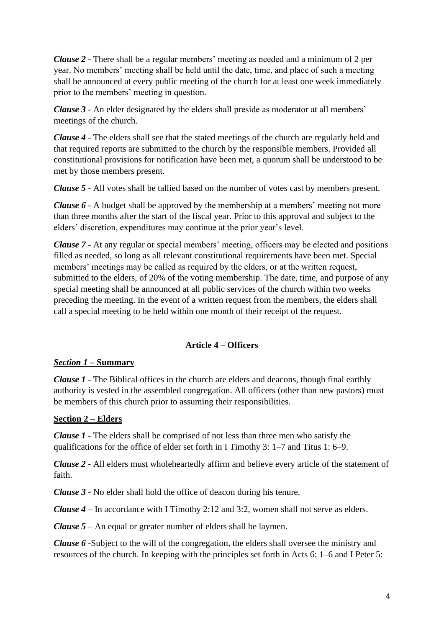*Clause 2* - There shall be a regular members' meeting as needed and a minimum of 2 per year. No members' meeting shall be held until the date, time, and place of such a meeting shall be announced at every public meeting of the church for at least one week immediately prior to the members' meeting in question.

*Clause 3* - An elder designated by the elders shall preside as moderator at all members' meetings of the church.

*Clause 4 -* The elders shall see that the stated meetings of the church are regularly held and that required reports are submitted to the church by the responsible members. Provided all constitutional provisions for notification have been met, a quorum shall be understood to be met by those members present.

*Clause 5 -* All votes shall be tallied based on the number of votes cast by members present.

*Clause 6* - A budget shall be approved by the membership at a members' meeting not more than three months after the start of the fiscal year. Prior to this approval and subject to the elders' discretion, expenditures may continue at the prior year's level.

*Clause 7 -* At any regular or special members' meeting, officers may be elected and positions filled as needed, so long as all relevant constitutional requirements have been met. Special members' meetings may be called as required by the elders, or at the written request, submitted to the elders, of 20% of the voting membership. The date, time, and purpose of any special meeting shall be announced at all public services of the church within two weeks preceding the meeting. In the event of a written request from the members, the elders shall call a special meeting to be held within one month of their receipt of the request.

## **Article 4 – Officers**

#### *Section 1* **– Summary**

*Clause 1* - The Biblical offices in the church are elders and deacons, though final earthly authority is vested in the assembled congregation. All officers (other than new pastors) must be members of this church prior to assuming their responsibilities.

#### **Section 2 – Elders**

*Clause 1* - The elders shall be comprised of not less than three men who satisfy the qualifications for the office of elder set forth in I Timothy 3: 1–7 and Titus 1: 6–9.

*Clause 2 -* All elders must wholeheartedly affirm and believe every article of the statement of faith.

*Clause 3* - No elder shall hold the office of deacon during his tenure.

*Clause 4* – In accordance with I Timothy 2:12 and 3:2, women shall not serve as elders.

*Clause 5* – An equal or greater number of elders shall be laymen.

*Clause 6 -*Subject to the will of the congregation, the elders shall oversee the ministry and resources of the church. In keeping with the principles set forth in Acts 6: 1–6 and I Peter 5: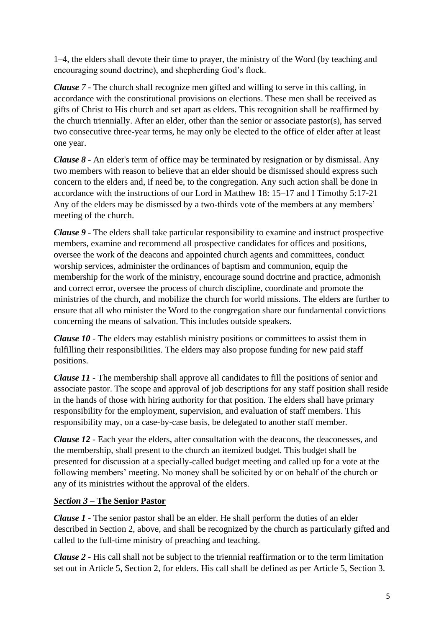1–4, the elders shall devote their time to prayer, the ministry of the Word (by teaching and encouraging sound doctrine), and shepherding God's flock.

*Clause 7 -* The church shall recognize men gifted and willing to serve in this calling, in accordance with the constitutional provisions on elections. These men shall be received as gifts of Christ to His church and set apart as elders. This recognition shall be reaffirmed by the church triennially. After an elder, other than the senior or associate pastor(s), has served two consecutive three-year terms, he may only be elected to the office of elder after at least one year.

*Clause 8 -* An elder's term of office may be terminated by resignation or by dismissal. Any two members with reason to believe that an elder should be dismissed should express such concern to the elders and, if need be, to the congregation. Any such action shall be done in accordance with the instructions of our Lord in Matthew 18: 15–17 and I Timothy 5:17-21 Any of the elders may be dismissed by a two-thirds vote of the members at any members' meeting of the church.

*Clause 9 -* The elders shall take particular responsibility to examine and instruct prospective members, examine and recommend all prospective candidates for offices and positions, oversee the work of the deacons and appointed church agents and committees, conduct worship services, administer the ordinances of baptism and communion, equip the membership for the work of the ministry, encourage sound doctrine and practice, admonish and correct error, oversee the process of church discipline, coordinate and promote the ministries of the church, and mobilize the church for world missions. The elders are further to ensure that all who minister the Word to the congregation share our fundamental convictions concerning the means of salvation. This includes outside speakers.

*Clause 10 -* The elders may establish ministry positions or committees to assist them in fulfilling their responsibilities. The elders may also propose funding for new paid staff positions.

*Clause 11* - The membership shall approve all candidates to fill the positions of senior and associate pastor. The scope and approval of job descriptions for any staff position shall reside in the hands of those with hiring authority for that position. The elders shall have primary responsibility for the employment, supervision, and evaluation of staff members. This responsibility may, on a case-by-case basis, be delegated to another staff member.

*Clause 12 -* Each year the elders, after consultation with the deacons, the deaconesses, and the membership, shall present to the church an itemized budget. This budget shall be presented for discussion at a specially-called budget meeting and called up for a vote at the following members' meeting. No money shall be solicited by or on behalf of the church or any of its ministries without the approval of the elders.

## *Section 3* **– The Senior Pastor**

*Clause 1* - The senior pastor shall be an elder. He shall perform the duties of an elder described in Section 2, above, and shall be recognized by the church as particularly gifted and called to the full-time ministry of preaching and teaching.

*Clause 2 -* His call shall not be subject to the triennial reaffirmation or to the term limitation set out in Article 5, Section 2, for elders. His call shall be defined as per Article 5, Section 3.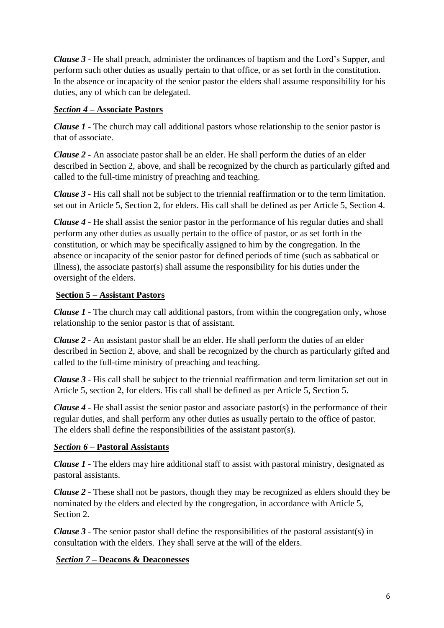*Clause 3 -* He shall preach, administer the ordinances of baptism and the Lord's Supper, and perform such other duties as usually pertain to that office, or as set forth in the constitution. In the absence or incapacity of the senior pastor the elders shall assume responsibility for his duties, any of which can be delegated.

## *Section 4* **– Associate Pastors**

*Clause 1* - The church may call additional pastors whose relationship to the senior pastor is that of associate.

*Clause 2* - An associate pastor shall be an elder. He shall perform the duties of an elder described in Section 2, above, and shall be recognized by the church as particularly gifted and called to the full-time ministry of preaching and teaching.

*Clause 3* - His call shall not be subject to the triennial reaffirmation or to the term limitation. set out in Article 5, Section 2, for elders. His call shall be defined as per Article 5, Section 4.

*Clause 4 -* He shall assist the senior pastor in the performance of his regular duties and shall perform any other duties as usually pertain to the office of pastor, or as set forth in the constitution, or which may be specifically assigned to him by the congregation. In the absence or incapacity of the senior pastor for defined periods of time (such as sabbatical or illness), the associate pastor(s) shall assume the responsibility for his duties under the oversight of the elders.

## **Section 5 – Assistant Pastors**

*Clause 1* - The church may call additional pastors, from within the congregation only, whose relationship to the senior pastor is that of assistant.

*Clause 2* - An assistant pastor shall be an elder. He shall perform the duties of an elder described in Section 2, above, and shall be recognized by the church as particularly gifted and called to the full-time ministry of preaching and teaching.

*Clause 3 -* His call shall be subject to the triennial reaffirmation and term limitation set out in Article 5, section 2, for elders. His call shall be defined as per Article 5, Section 5.

*Clause 4 -* He shall assist the senior pastor and associate pastor(s) in the performance of their regular duties, and shall perform any other duties as usually pertain to the office of pastor. The elders shall define the responsibilities of the assistant pastor(s).

#### *Section 6* – **Pastoral Assistants**

*Clause 1* - The elders may hire additional staff to assist with pastoral ministry, designated as pastoral assistants.

*Clause 2* - These shall not be pastors, though they may be recognized as elders should they be nominated by the elders and elected by the congregation, in accordance with Article 5, Section 2.

*Clause 3* - The senior pastor shall define the responsibilities of the pastoral assistant(s) in consultation with the elders. They shall serve at the will of the elders.

#### *Section 7* **– Deacons & Deaconesses**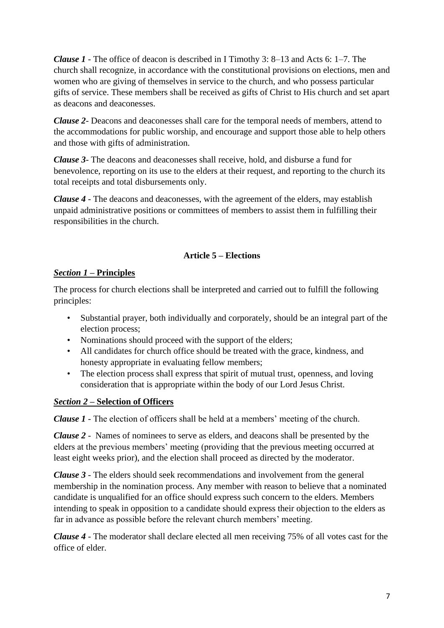*Clause 1 -* The office of deacon is described in I Timothy 3: 8–13 and Acts 6: 1–7. The church shall recognize, in accordance with the constitutional provisions on elections, men and women who are giving of themselves in service to the church, and who possess particular gifts of service. These members shall be received as gifts of Christ to His church and set apart as deacons and deaconesses.

*Clause 2-* Deacons and deaconesses shall care for the temporal needs of members, attend to the accommodations for public worship, and encourage and support those able to help others and those with gifts of administration.

*Clause 3-* The deacons and deaconesses shall receive, hold, and disburse a fund for benevolence, reporting on its use to the elders at their request, and reporting to the church its total receipts and total disbursements only.

*Clause 4 -* The deacons and deaconesses, with the agreement of the elders, may establish unpaid administrative positions or committees of members to assist them in fulfilling their responsibilities in the church.

## **Article 5 – Elections**

## *Section 1* **– Principles**

The process for church elections shall be interpreted and carried out to fulfill the following principles:

- Substantial prayer, both individually and corporately, should be an integral part of the election process;
- Nominations should proceed with the support of the elders:
- All candidates for church office should be treated with the grace, kindness, and honesty appropriate in evaluating fellow members;
- The election process shall express that spirit of mutual trust, openness, and loving consideration that is appropriate within the body of our Lord Jesus Christ.

## *Section 2* **– Selection of Officers**

*Clause 1* - The election of officers shall be held at a members' meeting of the church.

*Clause 2 -* Names of nominees to serve as elders, and deacons shall be presented by the elders at the previous members' meeting (providing that the previous meeting occurred at least eight weeks prior), and the election shall proceed as directed by the moderator.

*Clause 3* - The elders should seek recommendations and involvement from the general membership in the nomination process. Any member with reason to believe that a nominated candidate is unqualified for an office should express such concern to the elders. Members intending to speak in opposition to a candidate should express their objection to the elders as far in advance as possible before the relevant church members' meeting.

*Clause 4 -* The moderator shall declare elected all men receiving 75% of all votes cast for the office of elder.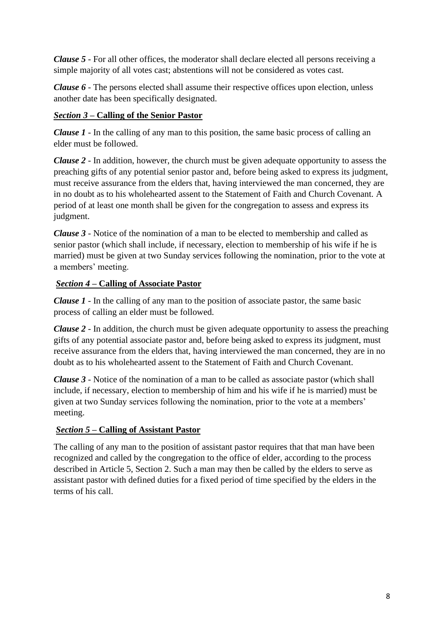*Clause 5 -* For all other offices, the moderator shall declare elected all persons receiving a simple majority of all votes cast; abstentions will not be considered as votes cast.

*Clause 6* - The persons elected shall assume their respective offices upon election, unless another date has been specifically designated.

## *Section 3* **– Calling of the Senior Pastor**

*Clause 1* - In the calling of any man to this position, the same basic process of calling an elder must be followed.

*Clause 2* - In addition, however, the church must be given adequate opportunity to assess the preaching gifts of any potential senior pastor and, before being asked to express its judgment, must receive assurance from the elders that, having interviewed the man concerned, they are in no doubt as to his wholehearted assent to the Statement of Faith and Church Covenant. A period of at least one month shall be given for the congregation to assess and express its judgment.

*Clause 3* - Notice of the nomination of a man to be elected to membership and called as senior pastor (which shall include, if necessary, election to membership of his wife if he is married) must be given at two Sunday services following the nomination, prior to the vote at a members' meeting.

# *Section 4* **– Calling of Associate Pastor**

*Clause 1* - In the calling of any man to the position of associate pastor, the same basic process of calling an elder must be followed.

*Clause 2* - In addition, the church must be given adequate opportunity to assess the preaching gifts of any potential associate pastor and, before being asked to express its judgment, must receive assurance from the elders that, having interviewed the man concerned, they are in no doubt as to his wholehearted assent to the Statement of Faith and Church Covenant.

*Clause 3* - Notice of the nomination of a man to be called as associate pastor (which shall include, if necessary, election to membership of him and his wife if he is married) must be given at two Sunday services following the nomination, prior to the vote at a members' meeting.

## *Section 5* **– Calling of Assistant Pastor**

The calling of any man to the position of assistant pastor requires that that man have been recognized and called by the congregation to the office of elder, according to the process described in Article 5, Section 2. Such a man may then be called by the elders to serve as assistant pastor with defined duties for a fixed period of time specified by the elders in the terms of his call.